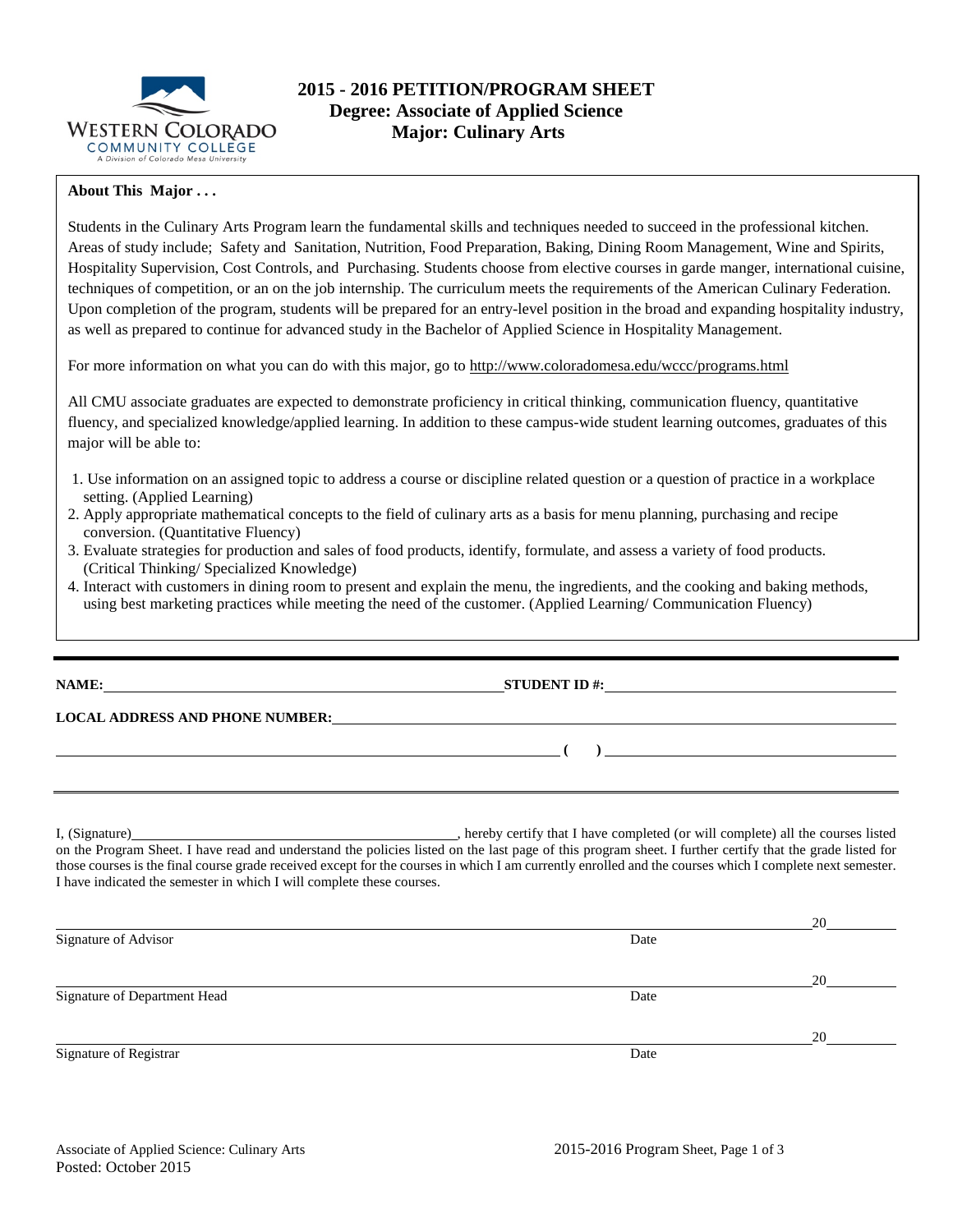

# **2015 - 2016 PETITION/PROGRAM SHEET Degree: Associate of Applied Science Major: Culinary Arts**

### **About This Major . . .**

Students in the Culinary Arts Program learn the fundamental skills and techniques needed to succeed in the professional kitchen. Areas of study include; Safety and Sanitation, Nutrition, Food Preparation, Baking, Dining Room Management, Wine and Spirits, Hospitality Supervision, Cost Controls, and Purchasing. Students choose from elective courses in garde manger, international cuisine, techniques of competition, or an on the job internship. The curriculum meets the requirements of the American Culinary Federation. Upon completion of the program, students will be prepared for an entry-level position in the broad and expanding hospitality industry, as well as prepared to continue for advanced study in the Bachelor of Applied Science in Hospitality Management.

For more information on what you can do with this major, go to http://www.coloradomesa.edu/wccc/programs.html

All CMU associate graduates are expected to demonstrate proficiency in critical thinking, communication fluency, quantitative fluency, and specialized knowledge/applied learning. In addition to these campus-wide student learning outcomes, graduates of this major will be able to:

- 1. Use information on an assigned topic to address a course or discipline related question or a question of practice in a workplace setting. (Applied Learning)
- 2. Apply appropriate mathematical concepts to the field of culinary arts as a basis for menu planning, purchasing and recipe conversion. (Quantitative Fluency)
- 3. Evaluate strategies for production and sales of food products, identify, formulate, and assess a variety of food products. (Critical Thinking/ Specialized Knowledge)
- 4. Interact with customers in dining room to present and explain the menu, the ingredients, and the cooking and baking methods, using best marketing practices while meeting the need of the customer. (Applied Learning/ Communication Fluency)

|                                                                       | STUDENT ID #: $\qquad \qquad$                                                                                                                                                                                                                                                                                        |
|-----------------------------------------------------------------------|----------------------------------------------------------------------------------------------------------------------------------------------------------------------------------------------------------------------------------------------------------------------------------------------------------------------|
|                                                                       | <b>LOCAL ADDRESS AND PHONE NUMBER:</b>                                                                                                                                                                                                                                                                               |
|                                                                       | ) and the contract of the contract of $\mathcal{L}$                                                                                                                                                                                                                                                                  |
|                                                                       |                                                                                                                                                                                                                                                                                                                      |
| I have indicated the semester in which I will complete these courses. | on the Program Sheet. I have read and understand the policies listed on the last page of this program sheet. I further certify that the grade listed for<br>those courses is the final course grade received except for the courses in which I am currently enrolled and the courses which I complete next semester. |
|                                                                       | 20                                                                                                                                                                                                                                                                                                                   |

| Signature of Advisor         | Date |    |
|------------------------------|------|----|
|                              |      | 20 |
| Signature of Department Head | Date |    |
|                              |      | 20 |
| Signature of Registrar       | Date |    |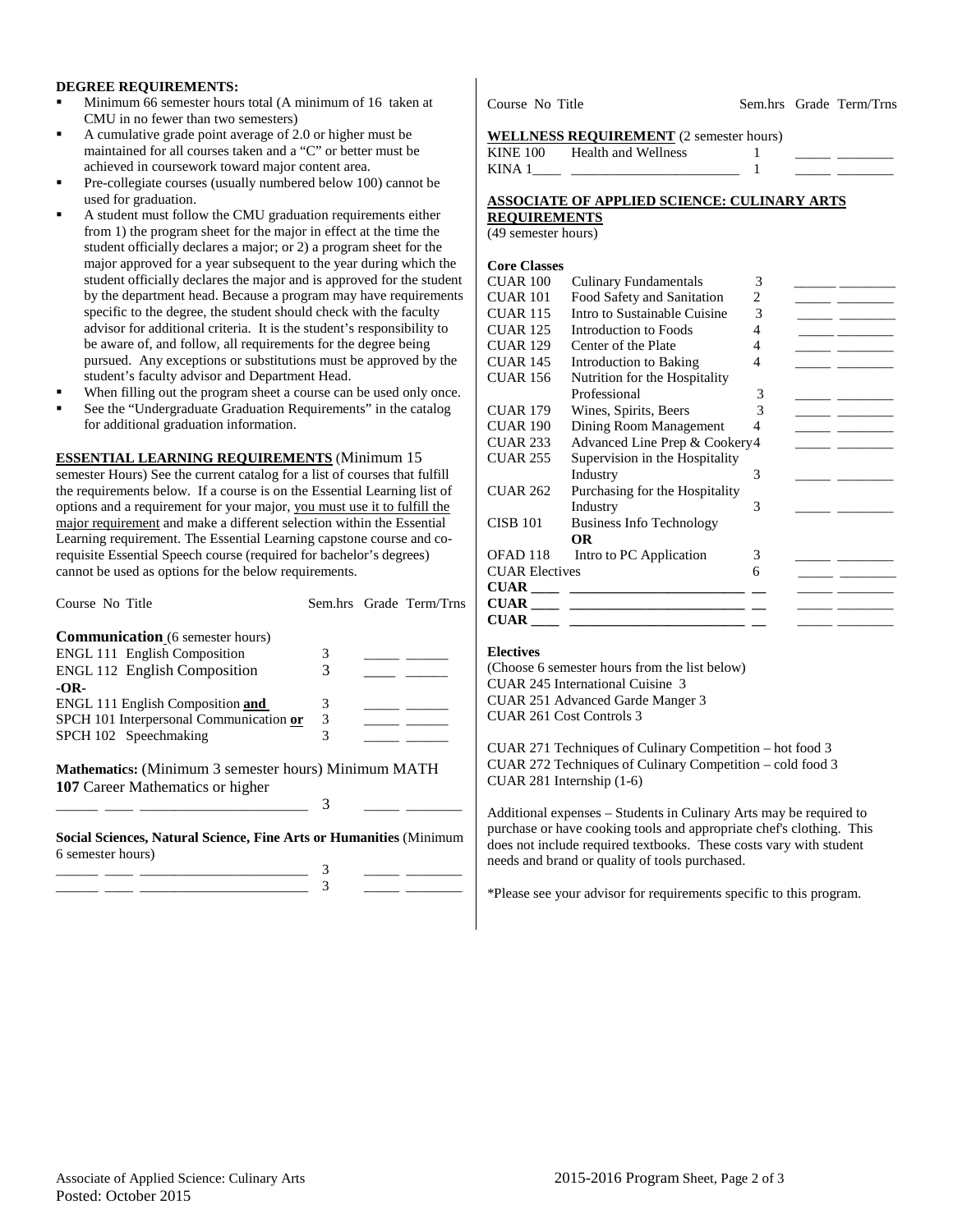### **DEGREE REQUIREMENTS:**

- Minimum 66 semester hours total (A minimum of 16 taken at CMU in no fewer than two semesters)
- A cumulative grade point average of 2.0 or higher must be maintained for all courses taken and a "C" or better must be achieved in coursework toward major content area.
- Pre-collegiate courses (usually numbered below 100) cannot be used for graduation.
- A student must follow the CMU graduation requirements either from 1) the program sheet for the major in effect at the time the student officially declares a major; or 2) a program sheet for the major approved for a year subsequent to the year during which the student officially declares the major and is approved for the student by the department head. Because a program may have requirements specific to the degree, the student should check with the faculty advisor for additional criteria. It is the student's responsibility to be aware of, and follow, all requirements for the degree being pursued. Any exceptions or substitutions must be approved by the student's faculty advisor and Department Head.
- When filling out the program sheet a course can be used only once.
- See the "Undergraduate Graduation Requirements" in the catalog for additional graduation information.

#### **ESSENTIAL LEARNING REQUIREMENTS** (Minimum 15

semester Hours) See the current catalog for a list of courses that fulfill the requirements below. If a course is on the Essential Learning list of options and a requirement for your major, you must use it to fulfill the major requirement and make a different selection within the Essential Learning requirement. The Essential Learning capstone course and corequisite Essential Speech course (required for bachelor's degrees) cannot be used as options for the below requirements.

| Course No Title                                                                                 |   | Sem.hrs Grade Term/Trns |
|-------------------------------------------------------------------------------------------------|---|-------------------------|
| <b>Communication</b> (6 semester hours)                                                         |   |                         |
| <b>ENGL 111 English Composition</b>                                                             | 3 |                         |
| <b>ENGL 112 English Composition</b>                                                             | 3 |                         |
| $-OR-$                                                                                          |   |                         |
| ENGL 111 English Composition and                                                                | 3 |                         |
| SPCH 101 Interpersonal Communication or                                                         | 3 |                         |
| SPCH 102 Speechmaking                                                                           | 3 |                         |
| <b>Mathematics:</b> (Minimum 3 semester hours) Minimum MATH<br>107 Career Mathematics or higher |   |                         |
|                                                                                                 | 3 |                         |
| Social Sciences, Natural Science, Fine Arts or Humanities (Minimum<br>6 semester hours)         |   |                         |
|                                                                                                 |   |                         |
|                                                                                                 |   |                         |

Course No Title Sem.hrs Grade Term/Trns

#### **WELLNESS REQUIREMENT** (2 semester hours)

| KINE 100    | Health and Wellness |  |  |
|-------------|---------------------|--|--|
| <b>KINA</b> |                     |  |  |

## **ASSOCIATE OF APPLIED SCIENCE: CULINARY ARTS**

**REQUIREMENTS**

(49 semester hours)

#### **Core Classes**

| CUAR 100              | <b>Culinary Fundamentals</b>    | 3 |  |
|-----------------------|---------------------------------|---|--|
| CUAR 101              | Food Safety and Sanitation      | 2 |  |
| CUAR <sub>115</sub>   | Intro to Sustainable Cuisine    | 3 |  |
| CUAR 125              | Introduction to Foods           | 4 |  |
| CUAR 129              | Center of the Plate             | 4 |  |
| CUAR 145              | Introduction to Baking          | 4 |  |
| CUAR 156              | Nutrition for the Hospitality   |   |  |
|                       | Professional                    | 3 |  |
| CUAR 179              | Wines, Spirits, Beers           | 3 |  |
| CUAR 190              | Dining Room Management          | 4 |  |
| CUAR 233              | Advanced Line Prep & Cookery4   |   |  |
| CUAR 255              | Supervision in the Hospitality  |   |  |
|                       | Industry                        | 3 |  |
| <b>CUAR 262</b>       | Purchasing for the Hospitality  |   |  |
|                       | Industry                        | 3 |  |
| CISB 101              | <b>Business Info Technology</b> |   |  |
|                       | <b>OR</b>                       |   |  |
| OFAD 118              | Intro to PC Application         | 3 |  |
| <b>CUAR Electives</b> |                                 | 6 |  |
| <b>CUAR</b>           |                                 |   |  |
|                       |                                 |   |  |
| <b>CUAR</b>           |                                 |   |  |
|                       |                                 |   |  |

#### **Electives**

(Choose 6 semester hours from the list below) CUAR 245 International Cuisine 3 CUAR 251 Advanced Garde Manger 3 CUAR 261 Cost Controls 3

CUAR 271 Techniques of Culinary Competition – hot food 3 CUAR 272 Techniques of Culinary Competition – cold food 3 CUAR 281 Internship (1-6)

Additional expenses – Students in Culinary Arts may be required to purchase or have cooking tools and appropriate chef's clothing. This does not include required textbooks. These costs vary with student needs and brand or quality of tools purchased.

\*Please see your advisor for requirements specific to this program.